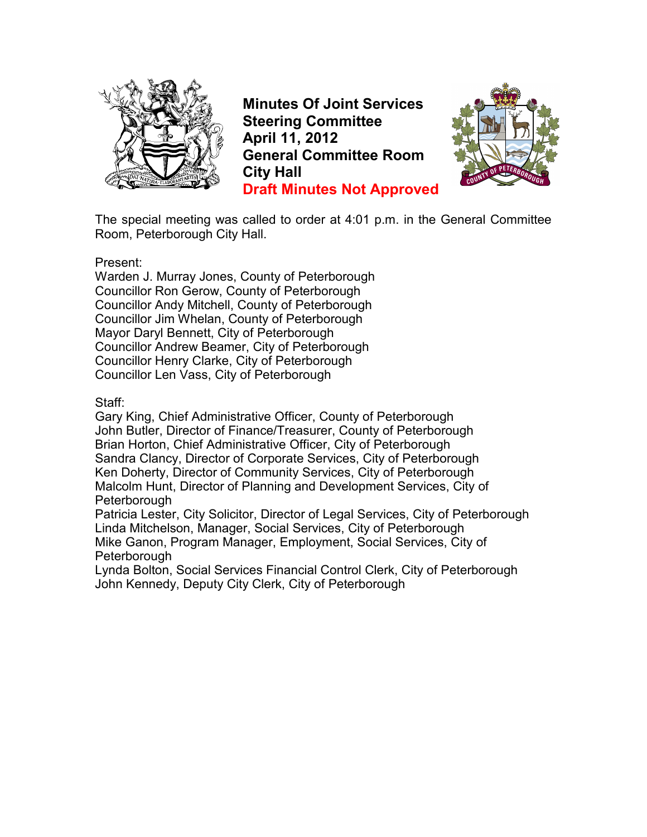

**Minutes Of Joint Services Steering Committee April 11, 2012 General Committee Room City Hall Draft Minutes Not Approved**



The special meeting was called to order at 4:01 p.m. in the General Committee Room, Peterborough City Hall.

#### Present:

Warden J. Murray Jones, County of Peterborough Councillor Ron Gerow, County of Peterborough Councillor Andy Mitchell, County of Peterborough Councillor Jim Whelan, County of Peterborough Mayor Daryl Bennett, City of Peterborough Councillor Andrew Beamer, City of Peterborough Councillor Henry Clarke, City of Peterborough Councillor Len Vass, City of Peterborough

#### Staff:

Gary King, Chief Administrative Officer, County of Peterborough John Butler, Director of Finance/Treasurer, County of Peterborough Brian Horton, Chief Administrative Officer, City of Peterborough Sandra Clancy, Director of Corporate Services, City of Peterborough Ken Doherty, Director of Community Services, City of Peterborough Malcolm Hunt, Director of Planning and Development Services, City of **Peterborough** 

Patricia Lester, City Solicitor, Director of Legal Services, City of Peterborough Linda Mitchelson, Manager, Social Services, City of Peterborough Mike Ganon, Program Manager, Employment, Social Services, City of Peterborough

Lynda Bolton, Social Services Financial Control Clerk, City of Peterborough John Kennedy, Deputy City Clerk, City of Peterborough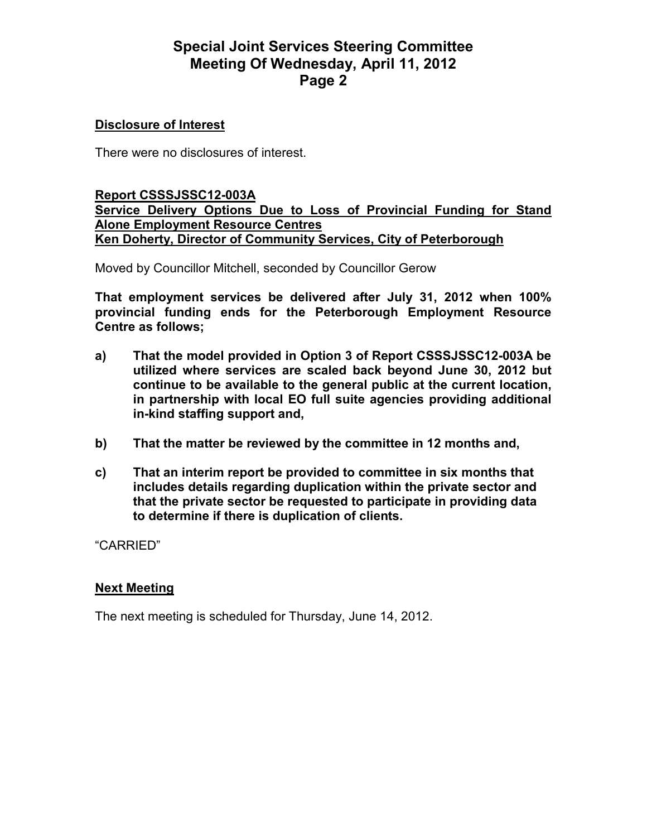### **Special Joint Services Steering Committee Meeting Of Wednesday, April 11, 2012 Page 2**

#### **Disclosure of Interest**

There were no disclosures of interest.

#### **Report CSSSJSSC12-003A Service Delivery Options Due to Loss of Provincial Funding for Stand Alone Employment Resource Centres Ken Doherty, Director of Community Services, City of Peterborough**

Moved by Councillor Mitchell, seconded by Councillor Gerow

**That employment services be delivered after July 31, 2012 when 100% provincial funding ends for the Peterborough Employment Resource Centre as follows;** 

- **a) That the model provided in Option 3 of Report CSSSJSSC12-003A be utilized where services are scaled back beyond June 30, 2012 but continue to be available to the general public at the current location, in partnership with local EO full suite agencies providing additional in-kind staffing support and,**
- **b) That the matter be reviewed by the committee in 12 months and,**
- **c) That an interim report be provided to committee in six months that includes details regarding duplication within the private sector and that the private sector be requested to participate in providing data to determine if there is duplication of clients.**

"CARRIED"

### **Next Meeting**

The next meeting is scheduled for Thursday, June 14, 2012.